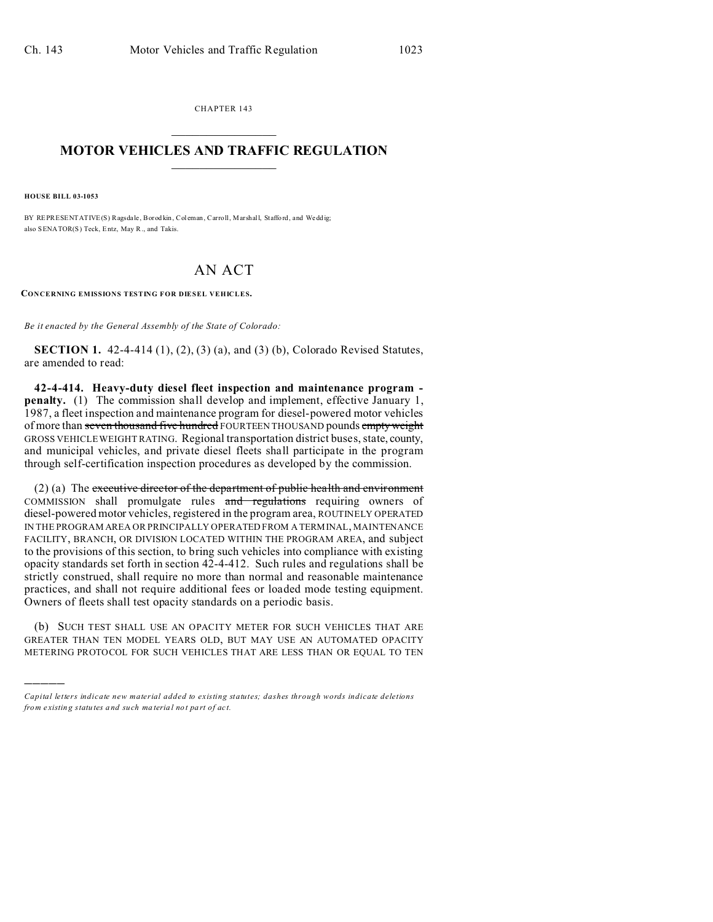CHAPTER 143  $\overline{\phantom{a}}$  , where  $\overline{\phantom{a}}$ 

## **MOTOR VEHICLES AND TRAFFIC REGULATION**  $\frac{1}{2}$  ,  $\frac{1}{2}$  ,  $\frac{1}{2}$  ,  $\frac{1}{2}$  ,  $\frac{1}{2}$  ,  $\frac{1}{2}$  ,  $\frac{1}{2}$

**HOUSE BILL 03-1053**

)))))

BY REPRESENTATIVE(S) Ragsda le, Borod kin, Col eman, Carroll, Marshall, Staffo rd, and Wedd ig; also SENATOR(S) Teck, Entz, May R., and Takis.

## AN ACT

**CONCERNING EMISSIONS TESTING FOR DIESEL VEHICLES.**

*Be it enacted by the General Assembly of the State of Colorado:*

**SECTION 1.** 42-4-414 (1), (2), (3) (a), and (3) (b), Colorado Revised Statutes, are amended to read:

**42-4-414. Heavy-duty diesel fleet inspection and maintenance program penalty.** (1) The commission shall develop and implement, effective January 1, 1987, a fleet inspection and maintenance program for diesel-powered motor vehicles of more than seven thousand five hundred FOURTEEN THOUSAND pounds empty weight GROSS VEHICLE WEIGHT RATING. Regional transportation district buses, state, county, and municipal vehicles, and private diesel fleets shall participate in the program through self-certification inspection procedures as developed by the commission.

(2) (a) The executive director of the department of public health and environment COMMISSION shall promulgate rules and regulations requiring owners of diesel-powered motor vehicles, registered in the program area, ROUTINELY OPERATED IN THE PROGRAM AREA OR PRINCIPALLY OPERATED FROM A TERMINAL, MAINTENANCE FACILITY, BRANCH, OR DIVISION LOCATED WITHIN THE PROGRAM AREA, and subject to the provisions of this section, to bring such vehicles into compliance with existing opacity standards set forth in section 42-4-412. Such rules and regulations shall be strictly construed, shall require no more than normal and reasonable maintenance practices, and shall not require additional fees or loaded mode testing equipment. Owners of fleets shall test opacity standards on a periodic basis.

(b) SUCH TEST SHALL USE AN OPACITY METER FOR SUCH VEHICLES THAT ARE GREATER THAN TEN MODEL YEARS OLD, BUT MAY USE AN AUTOMATED OPACITY METERING PROTOCOL FOR SUCH VEHICLES THAT ARE LESS THAN OR EQUAL TO TEN

*Capital letters indicate new material added to existing statutes; dashes through words indicate deletions from e xistin g statu tes a nd such ma teria l no t pa rt of ac t.*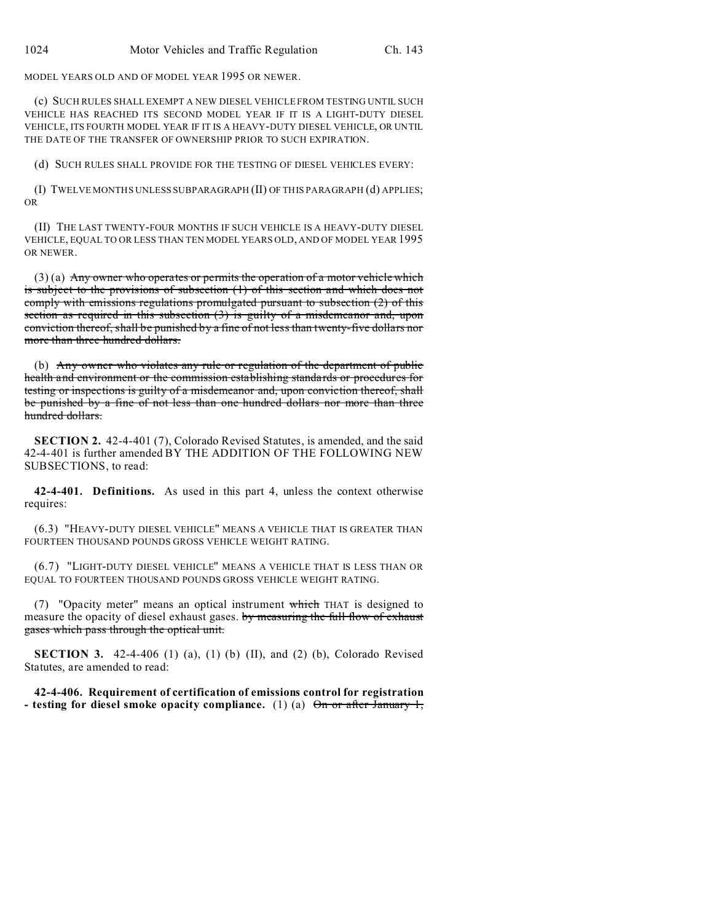MODEL YEARS OLD AND OF MODEL YEAR 1995 OR NEWER.

(c) SUCH RULES SHALL EXEMPT A NEW DIESEL VEHICLE FROM TESTING UNTIL SUCH VEHICLE HAS REACHED ITS SECOND MODEL YEAR IF IT IS A LIGHT-DUTY DIESEL VEHICLE, ITS FOURTH MODEL YEAR IF IT IS A HEAVY-DUTY DIESEL VEHICLE, OR UNTIL THE DATE OF THE TRANSFER OF OWNERSHIP PRIOR TO SUCH EXPIRATION.

(d) SUCH RULES SHALL PROVIDE FOR THE TESTING OF DIESEL VEHICLES EVERY:

(I) TWELVE MONTHS UNLESS SUBPARAGRAPH (II) OF THIS PARAGRAPH (d) APPLIES; OR

(II) THE LAST TWENTY-FOUR MONTHS IF SUCH VEHICLE IS A HEAVY-DUTY DIESEL VEHICLE, EQUAL TO OR LESS THAN TEN MODEL YEARS OLD, AND OF MODEL YEAR 1995 OR NEWER.

 $(3)$  (a) Any owner who operates or permits the operation of a motor vehicle which is subject to the provisions of subsection (1) of this section and which does not comply with emissions regulations promulgated pursuant to subsection (2) of this section as required in this subsection (3) is guilty of a misdemeanor and, upon conviction thereof, shall be punished by a fine of not less than twenty-five dollars nor more than three hundred dollars.

(b) Any owner who violates any rule or regulation of the department of public health and environment or the commission establishing standards or procedures for testing or inspections is guilty of a misdemeanor and, upon conviction thereof, shall be punished by a fine of not less than one hundred dollars nor more than three hundred dollars.

**SECTION 2.** 42-4-401 (7), Colorado Revised Statutes, is amended, and the said 42-4-401 is further amended BY THE ADDITION OF THE FOLLOWING NEW SUBSECTIONS, to read:

**42-4-401. Definitions.** As used in this part 4, unless the context otherwise requires:

(6.3) "HEAVY-DUTY DIESEL VEHICLE" MEANS A VEHICLE THAT IS GREATER THAN FOURTEEN THOUSAND POUNDS GROSS VEHICLE WEIGHT RATING.

(6.7) "LIGHT-DUTY DIESEL VEHICLE" MEANS A VEHICLE THAT IS LESS THAN OR EQUAL TO FOURTEEN THOUSAND POUNDS GROSS VEHICLE WEIGHT RATING.

(7) "Opacity meter" means an optical instrument which THAT is designed to measure the opacity of diesel exhaust gases. by measuring the full flow of exhaust gases which pass through the optical unit.

**SECTION 3.** 42-4-406 (1) (a), (1) (b) (II), and (2) (b), Colorado Revised Statutes, are amended to read:

**42-4-406. Requirement of certification of emissions control for registration - testing for diesel smoke opacity compliance.** (1) (a)  $\Theta$ <del>n or after January 1,</del>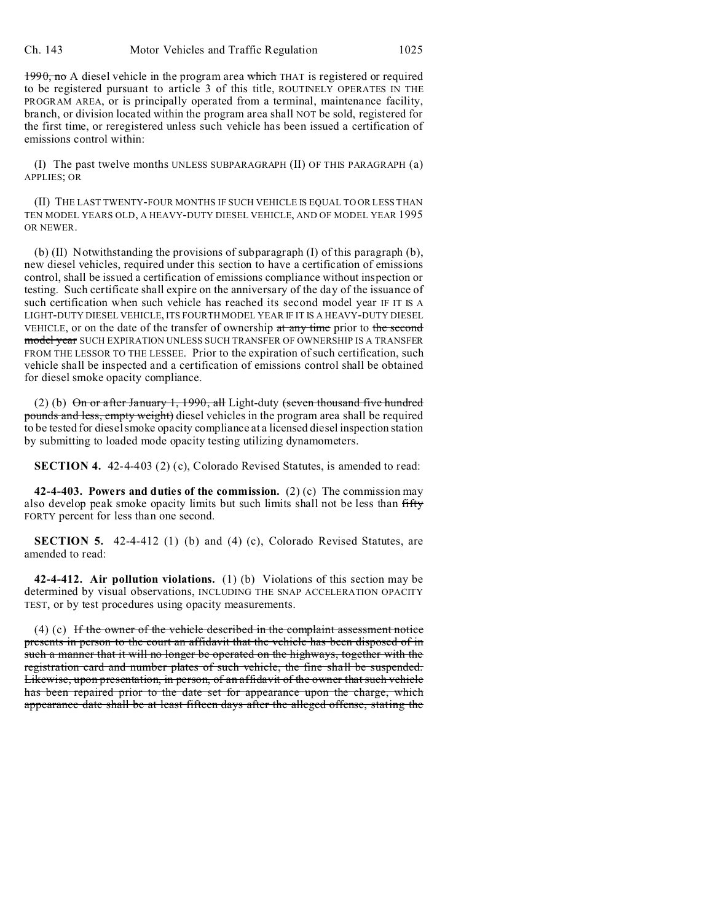1990, no A diesel vehicle in the program area which THAT is registered or required to be registered pursuant to article 3 of this title, ROUTINELY OPERATES IN THE PROGRAM AREA, or is principally operated from a terminal, maintenance facility, branch, or division located within the program area shall NOT be sold, registered for the first time, or reregistered unless such vehicle has been issued a certification of emissions control within:

(I) The past twelve months UNLESS SUBPARAGRAPH (II) OF THIS PARAGRAPH (a) APPLIES; OR

(II) THE LAST TWENTY-FOUR MONTHS IF SUCH VEHICLE IS EQUAL TO OR LESS THAN TEN MODEL YEARS OLD, A HEAVY-DUTY DIESEL VEHICLE, AND OF MODEL YEAR 1995 OR NEWER.

(b) (II) Notwithstanding the provisions of subparagraph (I) of this paragraph (b), new diesel vehicles, required under this section to have a certification of emissions control, shall be issued a certification of emissions compliance without inspection or testing. Such certificate shall expire on the anniversary of the day of the issuance of such certification when such vehicle has reached its second model year IF IT IS A LIGHT-DUTY DIESEL VEHICLE, ITS FOURTH MODEL YEAR IF IT IS A HEAVY-DUTY DIESEL VEHICLE, or on the date of the transfer of ownership at any time prior to the second model year SUCH EXPIRATION UNLESS SUCH TRANSFER OF OWNERSHIP IS A TRANSFER FROM THE LESSOR TO THE LESSEE. Prior to the expiration of such certification, such vehicle shall be inspected and a certification of emissions control shall be obtained for diesel smoke opacity compliance.

(2) (b)  $\Theta$ n or after January 1, 1990, all Light-duty (seven thousand five hundred pounds and less, empty weight) diesel vehicles in the program area shall be required to be tested for diesel smoke opacity compliance at a licensed diesel inspection station by submitting to loaded mode opacity testing utilizing dynamometers.

**SECTION 4.** 42-4-403 (2) (c), Colorado Revised Statutes, is amended to read:

**42-4-403. Powers and duties of the commission.** (2) (c) The commission may also develop peak smoke opacity limits but such limits shall not be less than fifty FORTY percent for less than one second.

**SECTION 5.** 42-4-412 (1) (b) and (4) (c), Colorado Revised Statutes, are amended to read:

**42-4-412. Air pollution violations.** (1) (b) Violations of this section may be determined by visual observations, INCLUDING THE SNAP ACCELERATION OPACITY TEST, or by test procedures using opacity measurements.

(4) (c) If the owner of the vehicle described in the complaint assessment notice presents in person to the court an affidavit that the vehicle has been disposed of in such a manner that it will no longer be operated on the highways, together with the registration card and number plates of such vehicle, the fine shall be suspended. Likewise, upon presentation, in person, of an affidavit of the owner that such vehicle has been repaired prior to the date set for appearance upon the charge, which appearance date shall be at least fifteen days after the alleged offense, stating the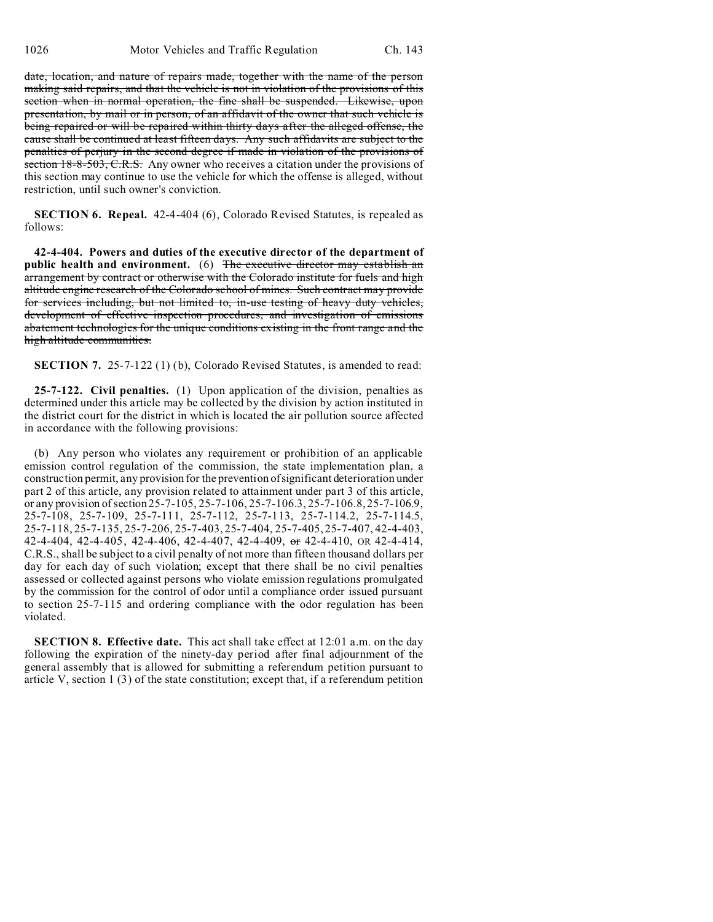date, location, and nature of repairs made, together with the name of the person making said repairs, and that the vehicle is not in violation of the provisions of this section when in normal operation, the fine shall be suspended. Likewise, upon presentation, by mail or in person, of an affidavit of the owner that such vehicle is being repaired or will be repaired within thirty days after the alleged offense, the cause shall be continued at least fifteen days. Any such affidavits are subject to the penalties of perjury in the second degree if made in violation of the provisions of section 18-8-503, C.R.S. Any owner who receives a citation under the provisions of this section may continue to use the vehicle for which the offense is alleged, without restriction, until such owner's conviction.

**SECTION 6. Repeal.** 42-4-404 (6), Colorado Revised Statutes, is repealed as follows:

**42-4-404. Powers and duties of the executive director of the department of public health and environment.** (6) The executive director may establish an arrangement by contract or otherwise with the Colorado institute for fuels and high altitude engine research of the Colorado school of mines. Such contract may provide for services including, but not limited to, in-use testing of heavy duty vehicles, development of effective inspection procedures, and investigation of emissions abatement technologies for the unique conditions existing in the front range and the high altitude communities.

**SECTION 7.** 25-7-122 (1) (b), Colorado Revised Statutes, is amended to read:

**25-7-122. Civil penalties.** (1) Upon application of the division, penalties as determined under this article may be collected by the division by action instituted in the district court for the district in which is located the air pollution source affected in accordance with the following provisions:

(b) Any person who violates any requirement or prohibition of an applicable emission control regulation of the commission, the state implementation plan, a construction permit, any provision for the prevention ofsignificant deterioration under part 2 of this article, any provision related to attainment under part 3 of this article, or any provision of section 25-7-105, 25-7-106, 25-7-106.3, 25-7-106.8, 25-7-106.9, 25-7-108, 25-7-109, 25-7-111, 25-7-112, 25-7-113, 25-7-114.2, 25-7-114.5, 25-7-118, 25-7-135, 25-7-206, 25-7-403, 25-7-404, 25-7-405, 25-7-407, 42-4-403, 42-4-404, 42-4-405, 42-4-406, 42-4-407, 42-4-409, or 42-4-410, OR 42-4-414, C.R.S., shall be subject to a civil penalty of not more than fifteen thousand dollars per day for each day of such violation; except that there shall be no civil penalties assessed or collected against persons who violate emission regulations promulgated by the commission for the control of odor until a compliance order issued pursuant to section 25-7-115 and ordering compliance with the odor regulation has been violated.

**SECTION 8. Effective date.** This act shall take effect at 12:01 a.m. on the day following the expiration of the ninety-day period after final adjournment of the general assembly that is allowed for submitting a referendum petition pursuant to article V, section 1  $(3)$  of the state constitution; except that, if a referendum petition